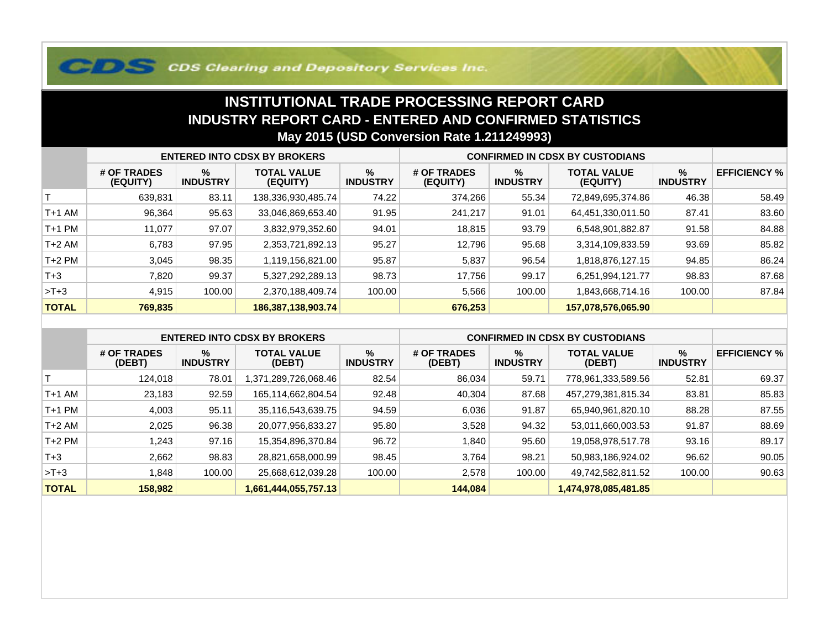## **COS Clearing and Depository Services Inc.**

## **INSTITUTIONAL TRADE PROCESSING REPORT CARD INDUSTRY REPORT CARD - ENTERED AND CONFIRMED STATISTICSMay 2015 (USD Conversion Rate 1.211249993)**

|              | <b>ENTERED INTO CDSX BY BROKERS</b> |                         |                                |                         | <b>CONFIRMED IN CDSX BY CUSTODIANS</b> |                         |                                |                         |                     |
|--------------|-------------------------------------|-------------------------|--------------------------------|-------------------------|----------------------------------------|-------------------------|--------------------------------|-------------------------|---------------------|
|              | # OF TRADES<br>(EQUITY)             | $\%$<br><b>INDUSTRY</b> | <b>TOTAL VALUE</b><br>(EQUITY) | $\%$<br><b>INDUSTRY</b> | # OF TRADES<br>(EQUITY)                | $\%$<br><b>INDUSTRY</b> | <b>TOTAL VALUE</b><br>(EQUITY) | $\%$<br><b>INDUSTRY</b> | <b>EFFICIENCY %</b> |
|              | 639,831                             | 83.11                   | 138,336,930,485.74             | 74.22                   | 374,266                                | 55.34                   | 72,849,695,374.86              | 46.38                   | 58.49               |
| T+1 AM       | 96,364                              | 95.63                   | 33,046,869,653.40              | 91.95                   | 241.217                                | 91.01                   | 64,451,330,011.50              | 87.41                   | 83.60               |
| T+1 PM       | 11,077                              | 97.07                   | 3,832,979,352.60               | 94.01                   | 18,815                                 | 93.79                   | 6,548,901,882.87               | 91.58                   | 84.88               |
| $T+2$ AM     | 6.783                               | 97.95                   | 2,353,721,892.13               | 95.27                   | 12.796                                 | 95.68                   | 3,314,109,833.59               | 93.69                   | 85.82               |
| $T+2$ PM     | 3,045                               | 98.35                   | 1,119,156,821.00               | 95.87                   | 5,837                                  | 96.54                   | 1,818,876,127.15               | 94.85                   | 86.24               |
| $T + 3$      | 7,820                               | 99.37                   | 5,327,292,289.13               | 98.73                   | 17,756                                 | 99.17                   | 6,251,994,121.77               | 98.83                   | 87.68               |
| $>T+3$       | 4,915                               | 100.00                  | 2,370,188,409.74               | 100.00                  | 5,566                                  | 100.00                  | 1,843,668,714.16               | 100.00                  | 87.84               |
| <b>TOTAL</b> | 769,835                             |                         | 186,387,138,903.74             |                         | 676,253                                |                         | 157,078,576,065.90             |                         |                     |

|              | <b>ENTERED INTO CDSX BY BROKERS</b> |                      |                              |                         | <b>CONFIRMED IN CDSX BY CUSTODIANS</b> |                      |                              |                         |                     |
|--------------|-------------------------------------|----------------------|------------------------------|-------------------------|----------------------------------------|----------------------|------------------------------|-------------------------|---------------------|
|              | # OF TRADES<br>(DEBT)               | %<br><b>INDUSTRY</b> | <b>TOTAL VALUE</b><br>(DEBT) | $\%$<br><b>INDUSTRY</b> | # OF TRADES<br>(DEBT)                  | %<br><b>INDUSTRY</b> | <b>TOTAL VALUE</b><br>(DEBT) | $\%$<br><b>INDUSTRY</b> | <b>EFFICIENCY %</b> |
|              | 124.018                             | 78.01                | .289,726,068.46<br>.371      | 82.54                   | 86,034                                 | 59.71                | 778,961,333,589.56           | 52.81                   | 69.37               |
| $T+1$ AM     | 23,183                              | 92.59                | 165,114,662,804.54           | 92.48                   | 40,304                                 | 87.68                | 457,279,381,815.34           | 83.81                   | 85.83               |
| $T+1$ PM     | 4,003                               | 95.11                | 35,116,543,639.75            | 94.59                   | 6,036                                  | 91.87                | 65,940,961,820.10            | 88.28                   | 87.55               |
| $T+2$ AM     | 2,025                               | 96.38                | 20,077,956,833.27            | 95.80                   | 3,528                                  | 94.32                | 53,011,660,003.53            | 91.87                   | 88.69               |
| $T+2$ PM     | .243                                | 97.16                | 15,354,896,370.84            | 96.72                   | 840. ا                                 | 95.60                | 19,058,978,517.78            | 93.16                   | 89.17               |
| $T+3$        | 2.662                               | 98.83                | 28,821,658,000.99            | 98.45                   | 3.764                                  | 98.21                | 50,983,186,924.02            | 96.62                   | 90.05               |
| $>T+3$       | .848                                | 100.00               | 25,668,612,039.28            | 100.00                  | 2,578                                  | 100.00               | 49,742,582,811.52            | 100.00                  | 90.63               |
| <b>TOTAL</b> | 158,982                             |                      | 1,661,444,055,757.13         |                         | 144,084                                |                      | 1,474,978,085,481.85         |                         |                     |